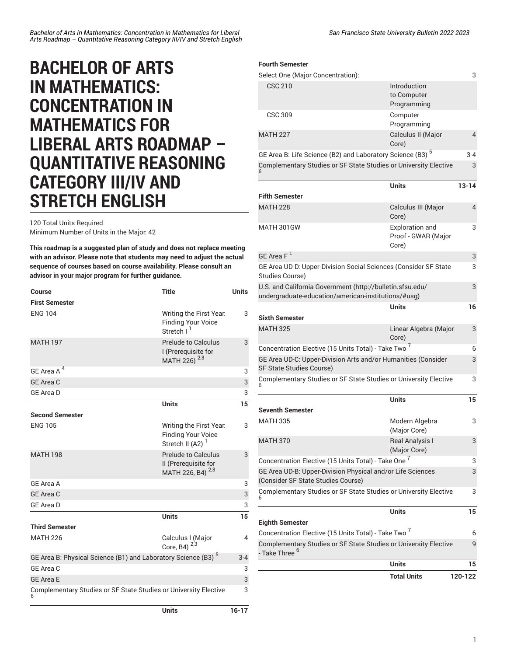## **BACHELOR OF ARTS IN MATHEMATICS: CONCENTRATION IN MATHEMATICS FOR LIBERAL ARTS ROADMAP – QUANTITATIVE REASONING CATEGORY III/IV AND STRETCH ENGLISH**

120 Total Units Required

Minimum Number of Units in the Major: 42

**This roadmap is a suggested plan of study and does not replace meeting with an advisor. Please note that students may need to adjust the actual sequence of courses based on course availability. Please consult an advisor in your major program for further guidance.**

| <b>Course</b><br><b>First Semester</b>                                    | <b>Title</b>                                                                         | <b>Units</b>   |
|---------------------------------------------------------------------------|--------------------------------------------------------------------------------------|----------------|
| <b>ENG 104</b>                                                            | Writing the First Year.<br><b>Finding Your Voice</b><br>Stretch I                    | 3              |
| <b>MATH 197</b>                                                           | Prelude to Calculus<br>I (Prerequisite for<br>MATH 226) <sup>2,3</sup>               | 3              |
| GE Area A <sup>4</sup>                                                    |                                                                                      | 3              |
| <b>GE Area C</b>                                                          |                                                                                      | 3              |
| <b>GE Area D</b>                                                          |                                                                                      | 3              |
|                                                                           | <b>Units</b>                                                                         | 15             |
| <b>Second Semester</b>                                                    |                                                                                      |                |
| <b>ENG 105</b>                                                            | Writing the First Year.<br><b>Finding Your Voice</b><br>Stretch II (A2) <sup>1</sup> | 3              |
| <b>MATH 198</b>                                                           | <b>Prelude to Calculus</b><br>II (Prerequisite for<br>MATH 226, B4) <sup>2,3</sup>   | 3              |
| GE Area A                                                                 |                                                                                      | 3              |
| <b>GE</b> Area C                                                          |                                                                                      | 3              |
| <b>GE Area D</b>                                                          |                                                                                      | 3              |
|                                                                           | <b>Units</b>                                                                         | 15             |
| <b>Third Semester</b>                                                     |                                                                                      |                |
| <b>MATH 226</b>                                                           | Calculus I (Major<br>Core, B4) $2,3$                                                 | $\overline{4}$ |
| GE Area B: Physical Science (B1) and Laboratory Science (B3) <sup>5</sup> |                                                                                      | $3 - 4$        |
| GE Area C                                                                 |                                                                                      | 3              |
| <b>GE Area E</b>                                                          |                                                                                      | 3              |
| Complementary Studies or SF State Studies or University Elective          |                                                                                      | 3              |
|                                                                           | Units                                                                                | 16-17          |

*San Francisco State University Bulletin 2022-2023*

## **Fourth Semester**

| Select One (Major Concentration):                                                                                |                                                        | 3         |
|------------------------------------------------------------------------------------------------------------------|--------------------------------------------------------|-----------|
| <b>CSC 210</b>                                                                                                   | Introduction<br>to Computer<br>Programming             |           |
| <b>CSC 309</b>                                                                                                   | Computer<br>Programming                                |           |
| <b>MATH 227</b>                                                                                                  | Calculus II (Major<br>Core)                            | 4         |
| GE Area B: Life Science (B2) and Laboratory Science (B3) <sup>5</sup>                                            |                                                        | 3-4       |
| Complementary Studies or SF State Studies or University Elective                                                 |                                                        | 3         |
| <b>Fifth Semester</b>                                                                                            | <b>Units</b>                                           | $13 - 14$ |
| <b>MATH 228</b>                                                                                                  | Calculus III (Major<br>Core)                           | 4         |
| MATH 301GW                                                                                                       | <b>Exploration and</b><br>Proof - GWAR (Major<br>Core) | 3         |
| GE Area F $^{\pm}$                                                                                               |                                                        | 3         |
| GE Area UD-D: Upper-Division Social Sciences (Consider SF State<br>Studies Course)                               |                                                        | 3         |
| U.S. and California Government (http://bulletin.sfsu.edu/<br>undergraduate-education/american-institutions/#usg) |                                                        | 3         |
| <b>Sixth Semester</b>                                                                                            | Units                                                  | 16        |
| <b>MATH 325</b>                                                                                                  | Linear Algebra (Major<br>Core)                         | 3         |
| Concentration Elective (15 Units Total) - Take Two <sup>7</sup>                                                  |                                                        | 6         |
| GE Area UD-C: Upper-Division Arts and/or Humanities (Consider<br><b>SF State Studies Course)</b>                 |                                                        | 3         |
| Complementary Studies or SF State Studies or University Elective                                                 |                                                        | 3         |
|                                                                                                                  | <b>Units</b>                                           | 15        |
| <b>Seventh Semester</b>                                                                                          |                                                        |           |
| <b>MATH 335</b>                                                                                                  | Modern Algebra<br>(Major Core)                         | 3         |
| <b>MATH 370</b>                                                                                                  | Real Analysis I<br>(Major Core)                        | 3         |
| Concentration Elective (15 Units Total) - Take One <sup>7</sup>                                                  |                                                        | 3         |
| GE Area UD-B: Upper-Division Physical and/or Life Sciences<br>(Consider SF State Studies Course)                 |                                                        | 3         |
| Complementary Studies or SF State Studies or University Elective                                                 |                                                        | 3         |
| <b>Eighth Semester</b>                                                                                           | Units                                                  | 15        |
| Concentration Elective (15 Units Total) - Take Two <sup>7</sup>                                                  |                                                        | 6         |
| Complementary Studies or SF State Studies or University Elective<br>- Take Three <sup>6</sup>                    |                                                        | 9         |
|                                                                                                                  | <b>Units</b>                                           | 15        |
|                                                                                                                  | <b>Total Units</b>                                     | 120-122   |